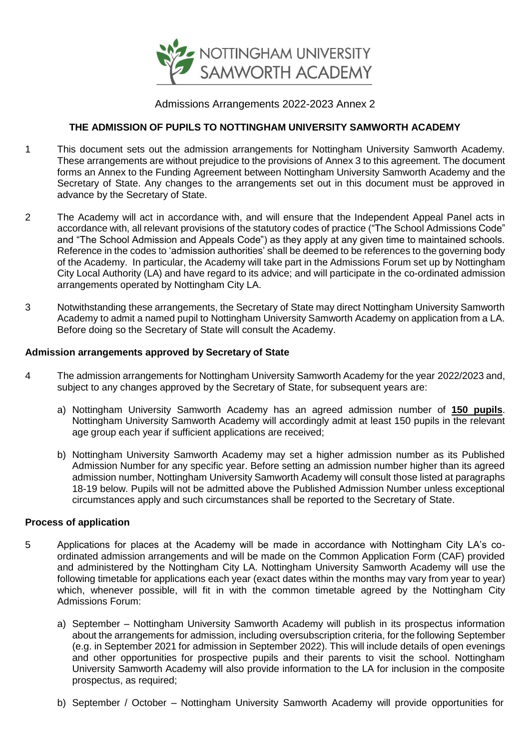

# Admissions Arrangements 2022-2023 Annex 2

# **THE ADMISSION OF PUPILS TO NOTTINGHAM UNIVERSITY SAMWORTH ACADEMY**

- 1 This document sets out the admission arrangements for Nottingham University Samworth Academy. These arrangements are without prejudice to the provisions of Annex 3 to this agreement. The document forms an Annex to the Funding Agreement between Nottingham University Samworth Academy and the Secretary of State. Any changes to the arrangements set out in this document must be approved in advance by the Secretary of State.
- 2 The Academy will act in accordance with, and will ensure that the Independent Appeal Panel acts in accordance with, all relevant provisions of the statutory codes of practice ("The School Admissions Code" and "The School Admission and Appeals Code") as they apply at any given time to maintained schools. Reference in the codes to 'admission authorities' shall be deemed to be references to the governing body of the Academy. In particular, the Academy will take part in the Admissions Forum set up by Nottingham City Local Authority (LA) and have regard to its advice; and will participate in the co-ordinated admission arrangements operated by Nottingham City LA.
- 3 Notwithstanding these arrangements, the Secretary of State may direct Nottingham University Samworth Academy to admit a named pupil to Nottingham University Samworth Academy on application from a LA. Before doing so the Secretary of State will consult the Academy.

#### **Admission arrangements approved by Secretary of State**

- 4 The admission arrangements for Nottingham University Samworth Academy for the year 2022/2023 and, subject to any changes approved by the Secretary of State, for subsequent years are:
	- a) Nottingham University Samworth Academy has an agreed admission number of **150 pupils**. Nottingham University Samworth Academy will accordingly admit at least 150 pupils in the relevant age group each year if sufficient applications are received;
	- b) Nottingham University Samworth Academy may set a higher admission number as its Published Admission Number for any specific year. Before setting an admission number higher than its agreed admission number, Nottingham University Samworth Academy will consult those listed at paragraphs 18-19 below. Pupils will not be admitted above the Published Admission Number unless exceptional circumstances apply and such circumstances shall be reported to the Secretary of State.

#### **Process of application**

- 5 Applications for places at the Academy will be made in accordance with Nottingham City LA's coordinated admission arrangements and will be made on the Common Application Form (CAF) provided and administered by the Nottingham City LA. Nottingham University Samworth Academy will use the following timetable for applications each year (exact dates within the months may vary from year to year) which, whenever possible, will fit in with the common timetable agreed by the Nottingham City Admissions Forum:
	- a) September Nottingham University Samworth Academy will publish in its prospectus information about the arrangements for admission, including oversubscription criteria, for the following September (e.g. in September 2021 for admission in September 2022). This will include details of open evenings and other opportunities for prospective pupils and their parents to visit the school. Nottingham University Samworth Academy will also provide information to the LA for inclusion in the composite prospectus, as required;
	- b) September / October Nottingham University Samworth Academy will provide opportunities for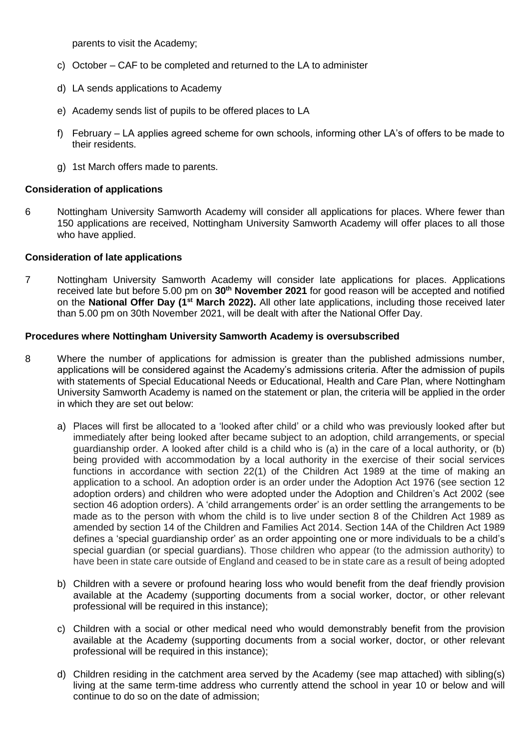parents to visit the Academy;

- c) October CAF to be completed and returned to the LA to administer
- d) LA sends applications to Academy
- e) Academy sends list of pupils to be offered places to LA
- f) February LA applies agreed scheme for own schools, informing other LA's of offers to be made to their residents.
- g) 1st March offers made to parents.

#### **Consideration of applications**

6 Nottingham University Samworth Academy will consider all applications for places. Where fewer than 150 applications are received, Nottingham University Samworth Academy will offer places to all those who have applied.

#### **Consideration of late applications**

7 Nottingham University Samworth Academy will consider late applications for places. Applications received late but before 5.00 pm on **30th November 2021** for good reason will be accepted and notified on the **National Offer Day (1st March 2022).** All other late applications, including those received later than 5.00 pm on 30th November 2021, will be dealt with after the National Offer Day.

#### **Procedures where Nottingham University Samworth Academy is oversubscribed**

- 8 Where the number of applications for admission is greater than the published admissions number, applications will be considered against the Academy's admissions criteria. After the admission of pupils with statements of Special Educational Needs or Educational, Health and Care Plan, where Nottingham University Samworth Academy is named on the statement or plan, the criteria will be applied in the order in which they are set out below:
	- a) Places will first be allocated to a 'looked after child' or a child who was previously looked after but immediately after being looked after became subject to an adoption, child arrangements, or special guardianship order. A looked after child is a child who is (a) in the care of a local authority, or (b) being provided with accommodation by a local authority in the exercise of their social services functions in accordance with section 22(1) of the Children Act 1989 at the time of making an application to a school. An adoption order is an order under the Adoption Act 1976 (see section 12 adoption orders) and children who were adopted under the Adoption and Children's Act 2002 (see section 46 adoption orders). A 'child arrangements order' is an order settling the arrangements to be made as to the person with whom the child is to live under section 8 of the Children Act 1989 as amended by section 14 of the Children and Families Act 2014. Section 14A of the Children Act 1989 defines a 'special guardianship order' as an order appointing one or more individuals to be a child's special guardian (or special guardians). Those children who appear (to the admission authority) to have been in state care outside of England and ceased to be in state care as a result of being adopted
	- b) Children with a severe or profound hearing loss who would benefit from the deaf friendly provision available at the Academy (supporting documents from a social worker, doctor, or other relevant professional will be required in this instance);
	- c) Children with a social or other medical need who would demonstrably benefit from the provision available at the Academy (supporting documents from a social worker, doctor, or other relevant professional will be required in this instance);
	- d) Children residing in the catchment area served by the Academy (see map attached) with sibling(s) living at the same term-time address who currently attend the school in year 10 or below and will continue to do so on the date of admission;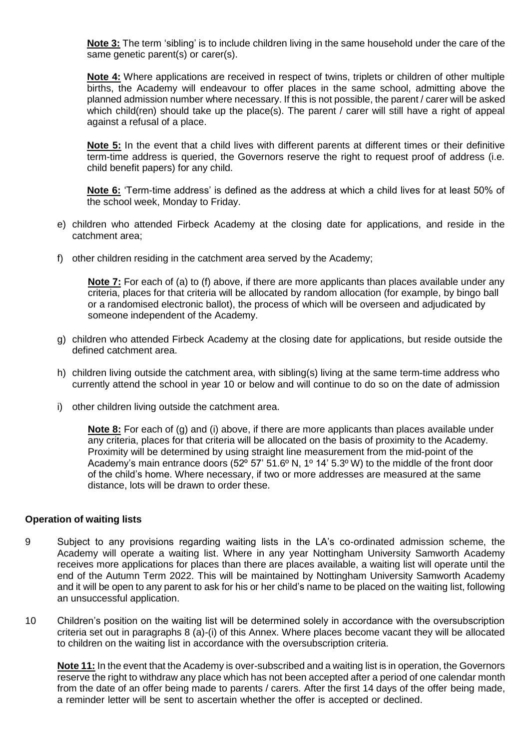**Note 3:** The term 'sibling' is to include children living in the same household under the care of the same genetic parent(s) or carer(s).

**Note 4:** Where applications are received in respect of twins, triplets or children of other multiple births, the Academy will endeavour to offer places in the same school, admitting above the planned admission number where necessary. If this is not possible, the parent / carer will be asked which child(ren) should take up the place(s). The parent / carer will still have a right of appeal against a refusal of a place.

**Note 5:** In the event that a child lives with different parents at different times or their definitive term-time address is queried, the Governors reserve the right to request proof of address (i.e. child benefit papers) for any child.

**Note 6:** 'Term-time address' is defined as the address at which a child lives for at least 50% of the school week, Monday to Friday.

- e) children who attended Firbeck Academy at the closing date for applications, and reside in the catchment area;
- f) other children residing in the catchment area served by the Academy;

**Note 7:** For each of (a) to (f) above, if there are more applicants than places available under any criteria, places for that criteria will be allocated by random allocation (for example, by bingo ball or a randomised electronic ballot), the process of which will be overseen and adjudicated by someone independent of the Academy.

- g) children who attended Firbeck Academy at the closing date for applications, but reside outside the defined catchment area.
- h) children living outside the catchment area, with sibling(s) living at the same term-time address who currently attend the school in year 10 or below and will continue to do so on the date of admission
- i) other children living outside the catchment area.

**Note 8:** For each of (g) and (i) above, if there are more applicants than places available under any criteria, places for that criteria will be allocated on the basis of proximity to the Academy. Proximity will be determined by using straight line measurement from the mid-point of the Academy's main entrance doors (52º 57' 51.6º N, 1º 14' 5.3º W) to the middle of the front door of the child's home. Where necessary, if two or more addresses are measured at the same distance, lots will be drawn to order these.

#### **Operation of waiting lists**

- 9 Subject to any provisions regarding waiting lists in the LA's co-ordinated admission scheme, the Academy will operate a waiting list. Where in any year Nottingham University Samworth Academy receives more applications for places than there are places available, a waiting list will operate until the end of the Autumn Term 2022. This will be maintained by Nottingham University Samworth Academy and it will be open to any parent to ask for his or her child's name to be placed on the waiting list, following an unsuccessful application.
- 10 Children's position on the waiting list will be determined solely in accordance with the oversubscription criteria set out in paragraphs 8 (a)-(i) of this Annex. Where places become vacant they will be allocated to children on the waiting list in accordance with the oversubscription criteria.

**Note 11:** In the event that the Academy is over-subscribed and a waiting list is in operation, the Governors reserve the right to withdraw any place which has not been accepted after a period of one calendar month from the date of an offer being made to parents / carers. After the first 14 days of the offer being made, a reminder letter will be sent to ascertain whether the offer is accepted or declined.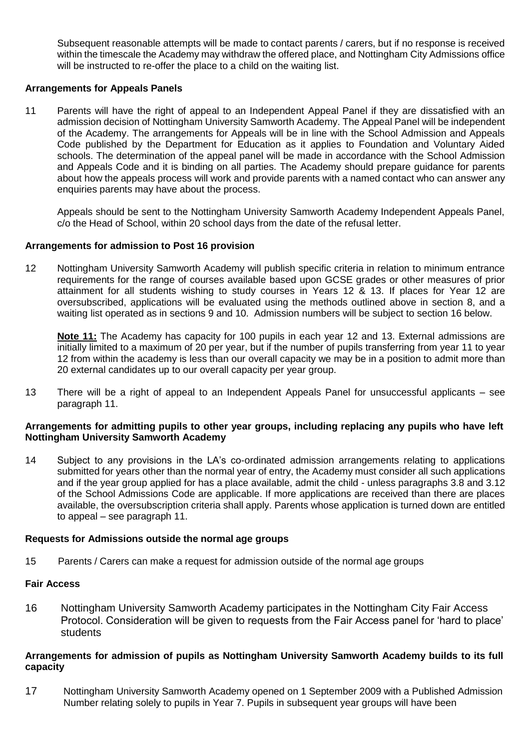Subsequent reasonable attempts will be made to contact parents / carers, but if no response is received within the timescale the Academy may withdraw the offered place, and Nottingham City Admissions office will be instructed to re-offer the place to a child on the waiting list.

# **Arrangements for Appeals Panels**

11 Parents will have the right of appeal to an Independent Appeal Panel if they are dissatisfied with an admission decision of Nottingham University Samworth Academy. The Appeal Panel will be independent of the Academy. The arrangements for Appeals will be in line with the School Admission and Appeals Code published by the Department for Education as it applies to Foundation and Voluntary Aided schools. The determination of the appeal panel will be made in accordance with the School Admission and Appeals Code and it is binding on all parties. The Academy should prepare guidance for parents about how the appeals process will work and provide parents with a named contact who can answer any enquiries parents may have about the process.

Appeals should be sent to the Nottingham University Samworth Academy Independent Appeals Panel, c/o the Head of School, within 20 school days from the date of the refusal letter.

## **Arrangements for admission to Post 16 provision**

12 Nottingham University Samworth Academy will publish specific criteria in relation to minimum entrance requirements for the range of courses available based upon GCSE grades or other measures of prior attainment for all students wishing to study courses in Years 12 & 13. If places for Year 12 are oversubscribed, applications will be evaluated using the methods outlined above in section 8, and a waiting list operated as in sections 9 and 10. Admission numbers will be subject to section 16 below.

**Note 11:** The Academy has capacity for 100 pupils in each year 12 and 13. External admissions are initially limited to a maximum of 20 per year, but if the number of pupils transferring from year 11 to year 12 from within the academy is less than our overall capacity we may be in a position to admit more than 20 external candidates up to our overall capacity per year group.

13 There will be a right of appeal to an Independent Appeals Panel for unsuccessful applicants – see paragraph 11.

## **Arrangements for admitting pupils to other year groups, including replacing any pupils who have left Nottingham University Samworth Academy**

14 Subject to any provisions in the LA's co-ordinated admission arrangements relating to applications submitted for years other than the normal year of entry, the Academy must consider all such applications and if the year group applied for has a place available, admit the child - unless paragraphs 3.8 and 3.12 of the School Admissions Code are applicable. If more applications are received than there are places available, the oversubscription criteria shall apply. Parents whose application is turned down are entitled to appeal – see paragraph 11.

## **Requests for Admissions outside the normal age groups**

15 Parents / Carers can make a request for admission outside of the normal age groups

## **Fair Access**

16 Nottingham University Samworth Academy participates in the Nottingham City Fair Access Protocol. Consideration will be given to requests from the Fair Access panel for 'hard to place' students

## **Arrangements for admission of pupils as Nottingham University Samworth Academy builds to its full capacity**

17 Nottingham University Samworth Academy opened on 1 September 2009 with a Published Admission Number relating solely to pupils in Year 7. Pupils in subsequent year groups will have been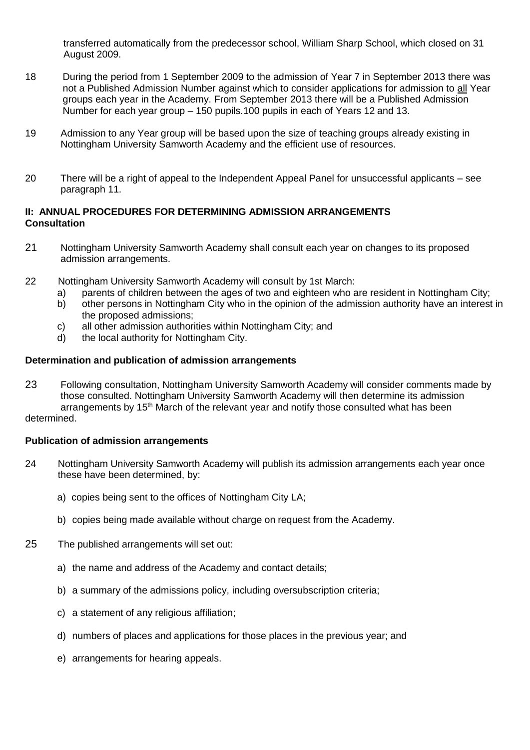transferred automatically from the predecessor school, William Sharp School, which closed on 31 August 2009.

- 18 During the period from 1 September 2009 to the admission of Year 7 in September 2013 there was not a Published Admission Number against which to consider applications for admission to all Year groups each year in the Academy. From September 2013 there will be a Published Admission Number for each year group – 150 pupils.100 pupils in each of Years 12 and 13.
- 19 Admission to any Year group will be based upon the size of teaching groups already existing in Nottingham University Samworth Academy and the efficient use of resources.
- 20 There will be a right of appeal to the Independent Appeal Panel for unsuccessful applicants see paragraph 11.

## **II: ANNUAL PROCEDURES FOR DETERMINING ADMISSION ARRANGEMENTS Consultation**

- 21 Nottingham University Samworth Academy shall consult each year on changes to its proposed admission arrangements.
- 22 Nottingham University Samworth Academy will consult by 1st March:
	- a) parents of children between the ages of two and eighteen who are resident in Nottingham City;
	- b) other persons in Nottingham City who in the opinion of the admission authority have an interest in the proposed admissions;
	- c) all other admission authorities within Nottingham City; and
	- d) the local authority for Nottingham City.

## **Determination and publication of admission arrangements**

23 Following consultation, Nottingham University Samworth Academy will consider comments made by those consulted. Nottingham University Samworth Academy will then determine its admission arrangements by 15<sup>th</sup> March of the relevant year and notify those consulted what has been

## determined.

## **Publication of admission arrangements**

- 24 Nottingham University Samworth Academy will publish its admission arrangements each year once these have been determined, by:
	- a) copies being sent to the offices of Nottingham City LA;
	- b) copies being made available without charge on request from the Academy.
- 25 The published arrangements will set out:
	- a) the name and address of the Academy and contact details;
	- b) a summary of the admissions policy, including oversubscription criteria;
	- c) a statement of any religious affiliation;
	- d) numbers of places and applications for those places in the previous year; and
	- e) arrangements for hearing appeals.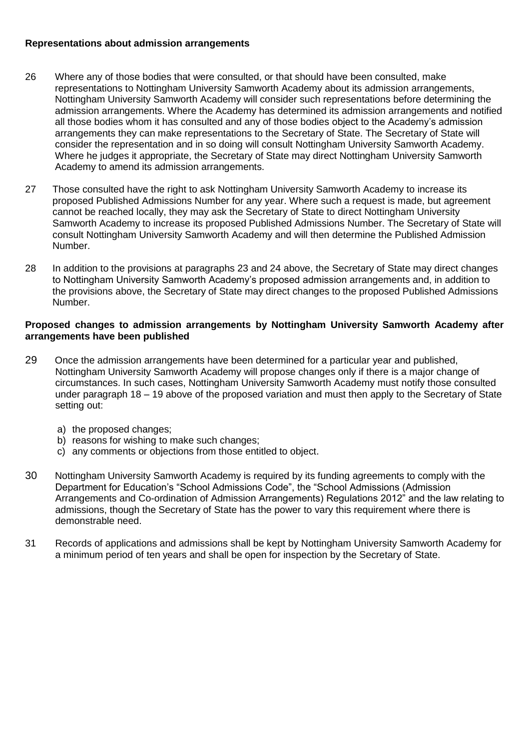# **Representations about admission arrangements**

- 26 Where any of those bodies that were consulted, or that should have been consulted, make representations to Nottingham University Samworth Academy about its admission arrangements, Nottingham University Samworth Academy will consider such representations before determining the admission arrangements. Where the Academy has determined its admission arrangements and notified all those bodies whom it has consulted and any of those bodies object to the Academy's admission arrangements they can make representations to the Secretary of State. The Secretary of State will consider the representation and in so doing will consult Nottingham University Samworth Academy. Where he judges it appropriate, the Secretary of State may direct Nottingham University Samworth Academy to amend its admission arrangements.
- 27 Those consulted have the right to ask Nottingham University Samworth Academy to increase its proposed Published Admissions Number for any year. Where such a request is made, but agreement cannot be reached locally, they may ask the Secretary of State to direct Nottingham University Samworth Academy to increase its proposed Published Admissions Number. The Secretary of State will consult Nottingham University Samworth Academy and will then determine the Published Admission Number.
- 28 In addition to the provisions at paragraphs 23 and 24 above, the Secretary of State may direct changes to Nottingham University Samworth Academy's proposed admission arrangements and, in addition to the provisions above, the Secretary of State may direct changes to the proposed Published Admissions Number.

#### **Proposed changes to admission arrangements by Nottingham University Samworth Academy after arrangements have been published**

- 29 Once the admission arrangements have been determined for a particular year and published, Nottingham University Samworth Academy will propose changes only if there is a major change of circumstances. In such cases, Nottingham University Samworth Academy must notify those consulted under paragraph 18 – 19 above of the proposed variation and must then apply to the Secretary of State setting out:
	- a) the proposed changes;
	- b) reasons for wishing to make such changes;
	- c) any comments or objections from those entitled to object.
- 30 Nottingham University Samworth Academy is required by its funding agreements to comply with the Department for Education's "School Admissions Code", the "School Admissions (Admission Arrangements and Co-ordination of Admission Arrangements) Regulations 2012" and the law relating to admissions, though the Secretary of State has the power to vary this requirement where there is demonstrable need.
- 31 Records of applications and admissions shall be kept by Nottingham University Samworth Academy for a minimum period of ten years and shall be open for inspection by the Secretary of State.